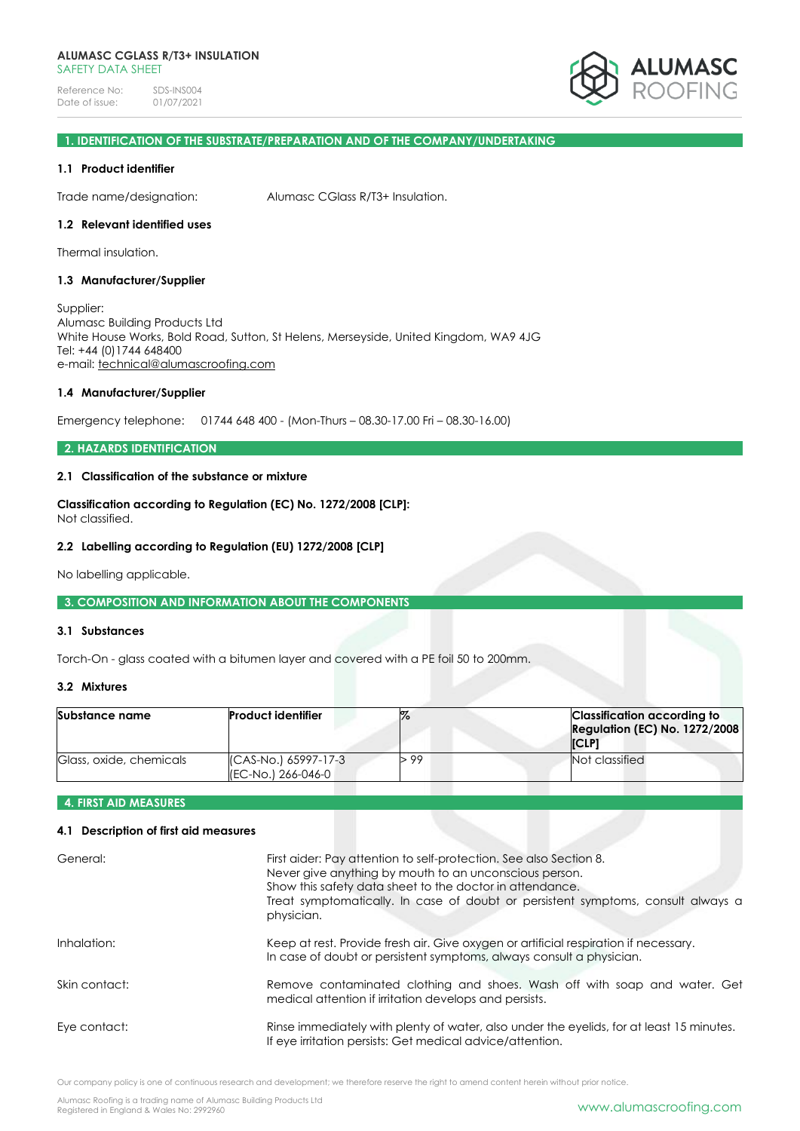Reference No: SDS-INS004<br>Date of issue: 01/07/2021 Date of issue:



# **1. IDENTIFICATION OF THE SUBSTRATE/PREPARATION AND OF THE COMPANY/UNDERTAKING**

### **1.1 Product identifier**

Trade name/designation: Alumasc CGlass R/T3+ Insulation.

# **1.2 Relevant identified uses**

Thermal insulation.

### **1.3 Manufacturer/Supplier**

Supplier: Alumasc Building Products Ltd White House Works, Bold Road, Sutton, St Helens, Merseyside, United Kingdom, WA9 4JG Tel: +44 (0)1744 648400 e-mail: [technical@alumascroofing.com](mailto:technical@alumascroofing.com)

#### **1.4 Manufacturer/Supplier**

Emergency telephone: 01744 648 400 - (Mon-Thurs – 08.30-17.00 Fri – 08.30-16.00)

### **2. HAZARDS IDENTIFICATION**

## **2.1 Classification of the substance or mixture**

**Classification according to Regulation (EC) No. 1272/2008 [CLP]:** Not classified.

#### **2.2 Labelling according to Regulation (EU) 1272/2008 [CLP]**

No labelling applicable.

#### **3. COMPOSITION AND INFORMATION ABOUT THE COMPONENTS**

### **3.1 Substances**

Torch-On - glass coated with a bitumen layer and covered with a PE foil 50 to 200mm.

## **3.2 Mixtures**

| Substance name          | <b>Product identifier</b>                   |      | Classification according to<br><b>Regulation (EC) No. 1272/2008</b><br><b>ICLP1</b> |
|-------------------------|---------------------------------------------|------|-------------------------------------------------------------------------------------|
| Glass, oxide, chemicals | (CAS-No.) 65997-17-3<br>I(EC-No.) 266-046-0 | > 99 | Not classified                                                                      |

#### **4. FIRST AID MEASURES**

# **4.1 Description of first aid measures**

| General:      | First aider: Pay attention to self-protection. See also Section 8.<br>Never give anything by mouth to an unconscious person.<br>Show this safety data sheet to the doctor in attendance.<br>Treat symptomatically. In case of doubt or persistent symptoms, consult always a<br>physician. |
|---------------|--------------------------------------------------------------------------------------------------------------------------------------------------------------------------------------------------------------------------------------------------------------------------------------------|
| Inhalation:   | Keep at rest. Provide fresh air. Give oxygen or artificial respiration if necessary.<br>In case of doubt or persistent symptoms, always consult a physician.                                                                                                                               |
| Skin contact: | Remove contaminated clothing and shoes. Wash off with soap and water. Get<br>medical attention if irritation develops and persists.                                                                                                                                                        |
| Eye contact:  | Rinse immediately with plenty of water, also under the eyelids, for at least 15 minutes.<br>If eye irritation persists: Get medical advice/attention.                                                                                                                                      |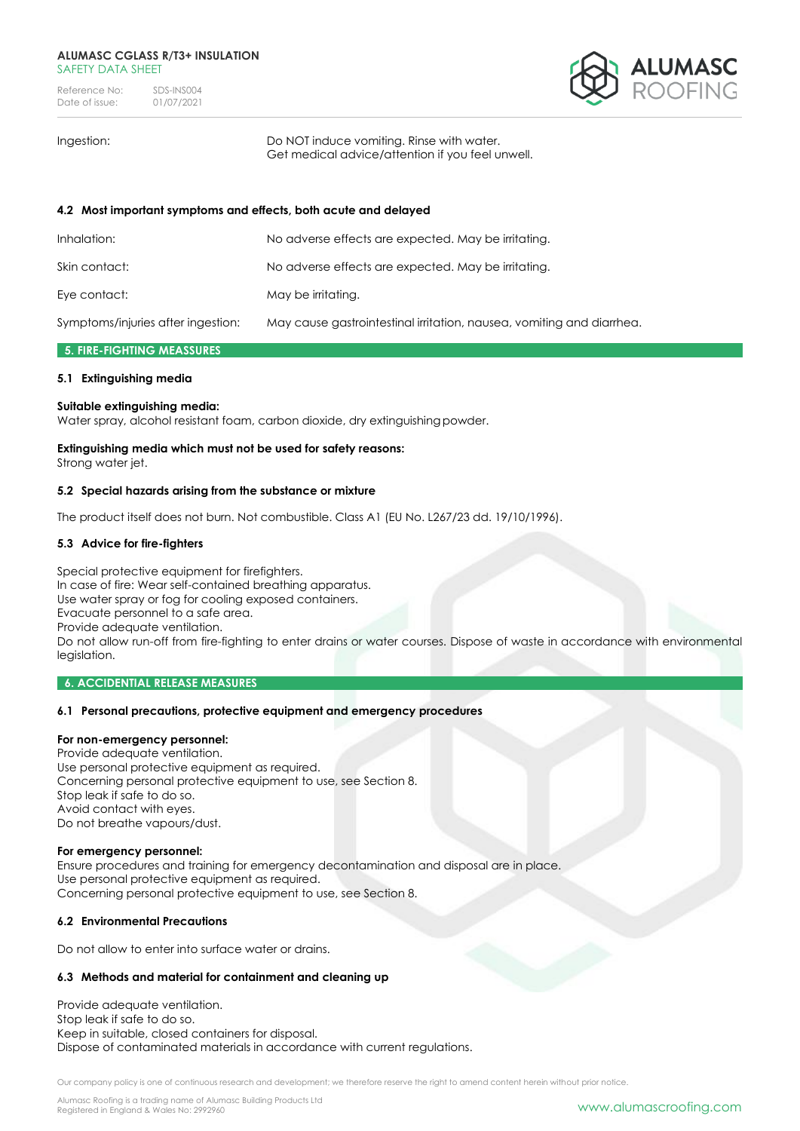Reference No: SDS-INS004<br>Date of issue: 01/07/2021 Date of issue:



Ingestion: Do NOT induce vomiting. Rinse with water. Get medical advice/attention if you feel unwell.

# **4.2 Most important symptoms and effects, both acute and delayed**

| Inhalation:                        | No adverse effects are expected. May be irritating.                   |
|------------------------------------|-----------------------------------------------------------------------|
| Skin contact:                      | No adverse effects are expected. May be irritating.                   |
| Eye contact:                       | May be irritating.                                                    |
| Symptoms/injuries after ingestion: | May cause gastrointestinal irritation, nausea, vomiting and diarrhea. |

### **5. FIRE-FIGHTING MEASSURES**

### **5.1 Extinguishing media**

### **Suitable extinguishing media:**

Water spray, alcohol resistant foam, carbon dioxide, dry extinguishingpowder.

# **Extinguishing media which must not be used for safety reasons:**

Strong water jet.

## **5.2 Special hazards arising from the substance or mixture**

The product itself does not burn. Not combustible. Class A1 (EU No. L267/23 dd. 19/10/1996).

## **5.3 Advice for fire-fighters**

Special protective equipment for firefighters. In case of fire: Wear self-contained breathing apparatus. Use water spray or fog for cooling exposed containers. Evacuate personnel to a safe area. Provide adequate ventilation. Do not allow run-off from fire-fighting to enter drains or water courses. Dispose of waste in accordance with environmental legislation.

### **6. ACCIDENTIAL RELEASE MEASURES**

### **6.1 Personal precautions, protective equipment and emergency procedures**

### **For non-emergency personnel:**

Provide adequate ventilation. Use personal protective equipment as required. Concerning personal protective equipment to use, see Section 8. Stop leak if safe to do so. Avoid contact with eyes. Do not breathe vapours/dust.

### **For emergency personnel:**

Ensure procedures and training for emergency decontamination and disposal are in place. Use personal protective equipment as required. Concerning personal protective equipment to use, see Section 8.

### **6.2 Environmental Precautions**

Do not allow to enter into surface water or drains.

### **6.3 Methods and material for containment and cleaning up**

Provide adequate ventilation. Stop leak if safe to do so. Keep in suitable, closed containers for disposal. Dispose of contaminated materials in accordance with current regulations.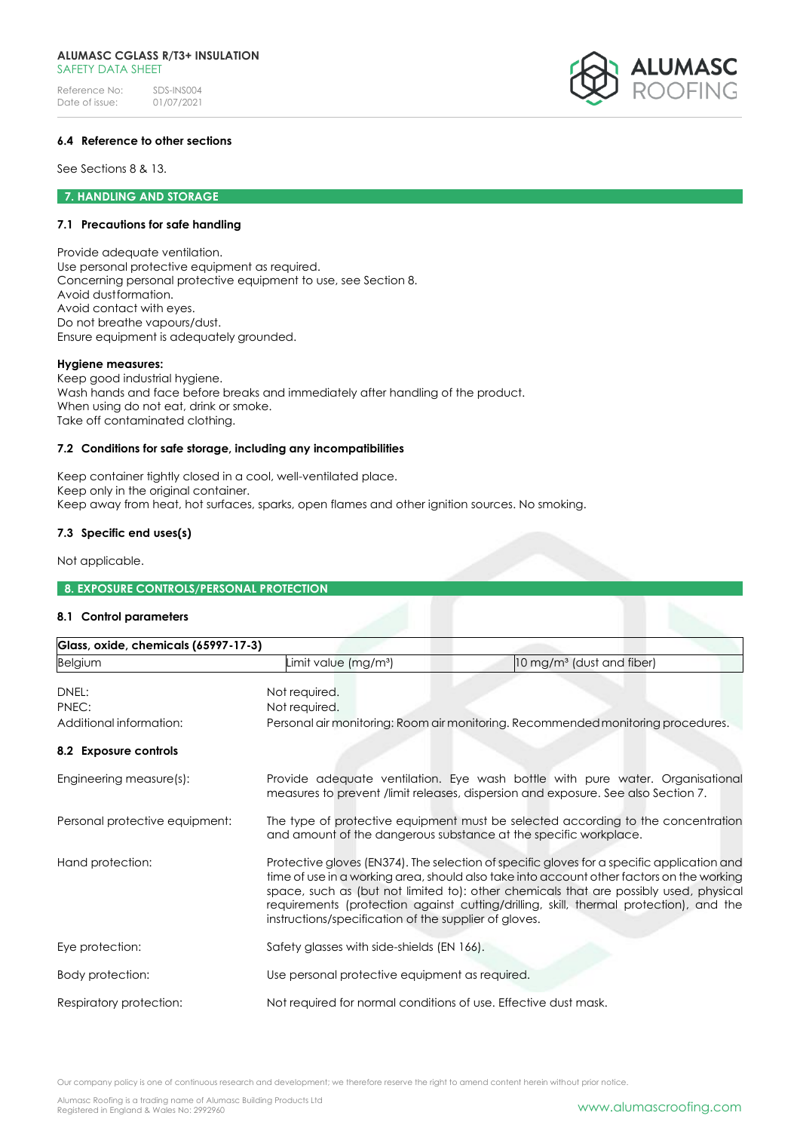Reference No: SDS-INS004<br>Date of issue: 01/07/2021 Date of issue:



# **6.4 Reference to other sections**

See Sections 8 & 13.

### **7. HANDLING AND STORAGE**

## **7.1 Precautions for safe handling**

Provide adequate ventilation. Use personal protective equipment as required. Concerning personal protective equipment to use, see Section 8. Avoid dustformation. Avoid contact with eyes. Do not breathe vapours/dust. Ensure equipment is adequately grounded.

#### **Hygiene measures:**

Keep good industrial hygiene. Wash hands and face before breaks and immediately after handling of the product. When using do not eat, drink or smoke. Take off contaminated clothing.

# **7.2 Conditions for safe storage, including any incompatibilities**

Keep container tightly closed in a cool, well-ventilated place. Keep only in the original container. Keep away from heat, hot surfaces, sparks, open flames and other ignition sources. No smoking.

### **7.3 Specific end uses(s)**

Not applicable.

# **8. EXPOSURE CONTROLS/PERSONAL PROTECTION**

### **8.1 Control parameters**

| Glass, oxide, chemicals (65997-17-3) |                                                                                                                                                                                                                                                                                                                                                                                                                                     |                                                                                  |  |
|--------------------------------------|-------------------------------------------------------------------------------------------------------------------------------------------------------------------------------------------------------------------------------------------------------------------------------------------------------------------------------------------------------------------------------------------------------------------------------------|----------------------------------------------------------------------------------|--|
| <b>Belgium</b>                       | Limit value (mg/m <sup>3</sup> )                                                                                                                                                                                                                                                                                                                                                                                                    | 10 mg/m <sup>3</sup> (dust and fiber)                                            |  |
| DNEL:<br>PNEC:                       | Not required.<br>Not required.                                                                                                                                                                                                                                                                                                                                                                                                      |                                                                                  |  |
| Additional information:              |                                                                                                                                                                                                                                                                                                                                                                                                                                     | Personal air monitoring: Room air monitoring. Recommended monitoring procedures. |  |
| 8.2 Exposure controls                |                                                                                                                                                                                                                                                                                                                                                                                                                                     |                                                                                  |  |
| Engineering measure(s):              | Provide adequate ventilation. Eye wash bottle with pure water. Organisational<br>measures to prevent /limit releases, dispersion and exposure. See also Section 7.                                                                                                                                                                                                                                                                  |                                                                                  |  |
| Personal protective equipment:       | and amount of the dangerous substance at the specific workplace.                                                                                                                                                                                                                                                                                                                                                                    | The type of protective equipment must be selected according to the concentration |  |
| Hand protection:                     | Protective gloves (EN374). The selection of specific gloves for a specific application and<br>time of use in a working area, should also take into account other factors on the working<br>space, such as (but not limited to): other chemicals that are possibly used, physical<br>requirements (protection against cutting/drilling, skill, thermal protection), and the<br>instructions/specification of the supplier of gloves. |                                                                                  |  |
| Eye protection:                      | Safety glasses with side-shields (EN 166).                                                                                                                                                                                                                                                                                                                                                                                          |                                                                                  |  |
| Body protection:                     | Use personal protective equipment as required.                                                                                                                                                                                                                                                                                                                                                                                      |                                                                                  |  |
| Respiratory protection:              | Not required for normal conditions of use. Effective dust mask.                                                                                                                                                                                                                                                                                                                                                                     |                                                                                  |  |

Our company policy is one of continuous research and development; we therefore reserve the right to amend content herein without prior notice.

Alumasc Roofing is a trading name of Alumasc Building Products Ltd Alumasc kooling is a traaing name of Alumasc Bullaing Products Ltd<br>Registered in England & Wales No: 2992960 [www.alumascroofing.com](http://www.alumascroofing.com/)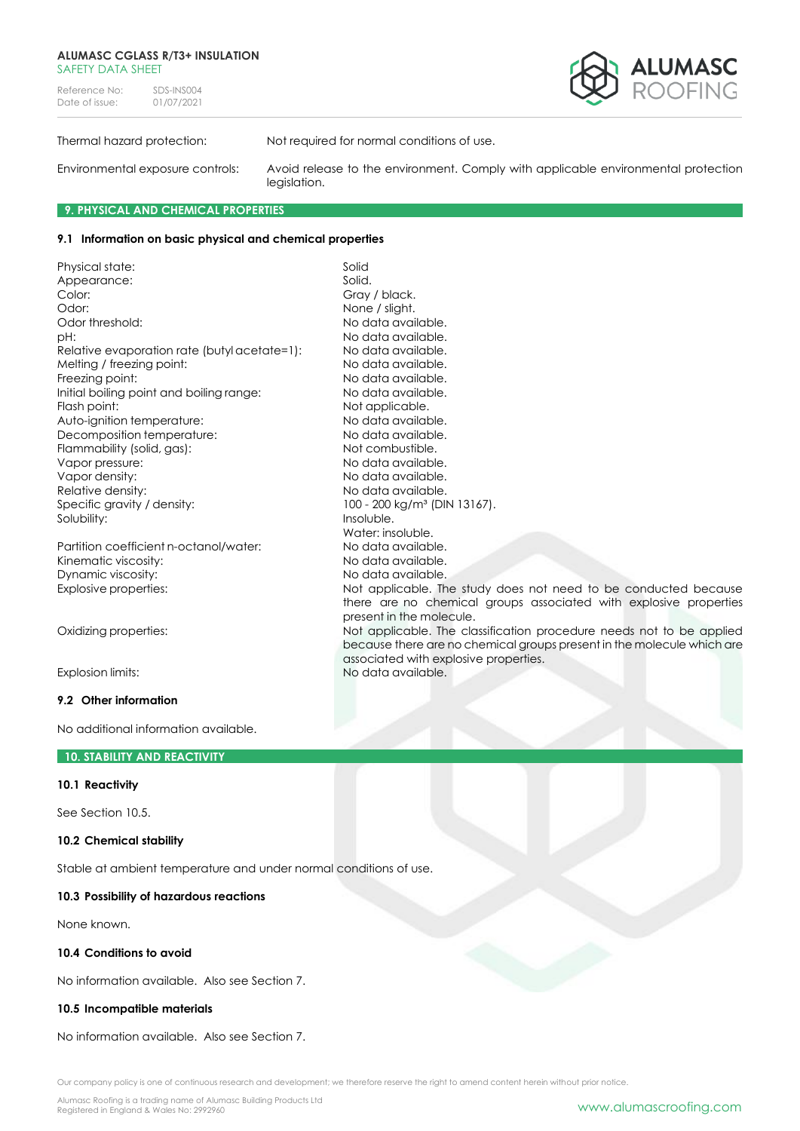Reference No: SDS-INS004<br>Date of issue: 01/07/2021 Date of issue:



Thermal hazard protection: Not required for normal conditions of use.

No data available.

Water: insoluble.

present in the molecule.

associated with explosive properties.

Environmental exposure controls: Avoid release to the environment. Comply with applicable environmental protection legislation.

there are no chemical groups associated with explosive properties

because there are no chemical groups present in the molecule which are

# **9. PHYSICAL AND CHEMICAL PROPERTIES**

# **9.1 Information on basic physical and chemical properties**

Physical state: Solid Appearance: Solid. Color: Gray / black. Odor: None / slight.<br>
Odor threshold: No data avai pH: No data available. Relative evaporation rate (butyl acetate=1): No data available. Melting / freezing point:<br>
Freezing point:<br>
No data available.<br>
No data available. Freezing point: Initial boiling point and boiling range: No data available. Flash point: Not applicable. Auto-ignition temperature: No data available. Decomposition temperature: No data available. Flammability (solid, gas): Not combustible. Vapor pressure:  $\blacksquare$ Vapor density:  $\blacksquare$ Relative density: No data available. Specific gravity / density: 100 - 200 kg/m<sup>3</sup> (DIN 13167). Solubility: Insoluble.

Partition coefficient n-octanol/water: No data available. Kinematic viscosity: No data available. Dynamic viscosity: No data available. Explosive properties: Not applicable. The study does not need to be conducted because

Oxidizing properties: Not applicable. The classification procedure needs not to be applied

Explosion limits: No data available.

### **9.2 Other information**

No additional information available.

### **10. STABILITY AND REACTIVITY**

# **10.1 Reactivity**

See Section 10.5.

## **10.2 Chemical stability**

Stable at ambient temperature and under normal conditions of use.

### **10.3 Possibility of hazardous reactions**

None known.

### **10.4 Conditions to avoid**

No information available. Also see Section 7.

### **10.5 Incompatible materials**

No information available. Also see Section 7.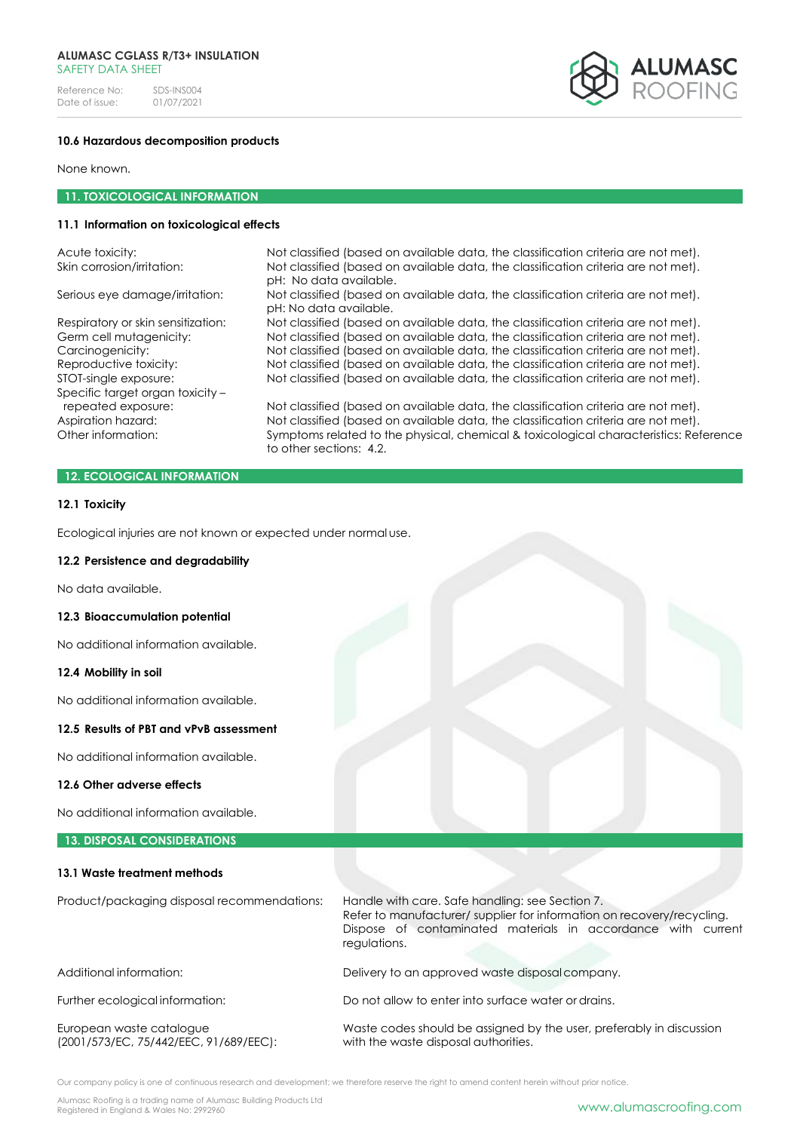Reference No: SDS-INS004<br>Date of issue: 01/07/2021 Date of issue:



### **10.6 Hazardous decomposition products**

None known.

## **11. TOXICOLOGICAL INFORMATION**

# **11.1 Information on toxicological effects**

| Not classified (based on available data, the classification criteria are not met).    |
|---------------------------------------------------------------------------------------|
| Not classified (based on available data, the classification criteria are not met).    |
| Not classified (based on available data, the classification criteria are not met).    |
| Not classified (based on available data, the classification criteria are not met).    |
| Not classified (based on available data, the classification criteria are not met).    |
| Not classified (based on available data, the classification criteria are not met).    |
| Not classified (based on available data, the classification criteria are not met).    |
|                                                                                       |
| Not classified (based on available data, the classification criteria are not met).    |
| Not classified (based on available data, the classification criteria are not met).    |
| Symptoms related to the physical, chemical & toxicological characteristics: Reference |
|                                                                                       |

### **12. ECOLOGICAL INFORMATION**

#### **12.1 Toxicity**

Ecological injuries are not known or expected under normal use.

#### **12.2 Persistence and degradability**

No data available.

### **12.3 Bioaccumulation potential**

No additional information available.

# **12.4 Mobility in soil**

No additional information available.

# **12.5 Results of PBT and vPvB assessment**

No additional information available.

### **12.6 Other adverse effects**

No additional information available.

### **13. DISPOSAL CONSIDERATIONS**

### **13.1 Waste treatment methods**

| Product/packaging disposal recommendations:                        | Handle with care. Safe handling: see Section 7.<br>Refer to manufacturer/ supplier for information on recovery/recycling.<br>Dispose of contaminated materials in accordance with current<br>regulations. |  |  |
|--------------------------------------------------------------------|-----------------------------------------------------------------------------------------------------------------------------------------------------------------------------------------------------------|--|--|
| Additional information:                                            | Delivery to an approved waste disposal company.                                                                                                                                                           |  |  |
| Further ecological information:                                    | Do not allow to enter into surface water or drains.                                                                                                                                                       |  |  |
| European waste catalogue<br>(2001/573/EC, 75/442/EEC, 91/689/EEC): | Waste codes should be assigned by the user, preferably in discussion<br>with the waste disposal authorities.                                                                                              |  |  |

Our company policy is one of continuous research and development; we therefore reserve the right to amend content herein without prior notice.

Alumasc Roofing is a trading name of Alumasc Building Products Ltd